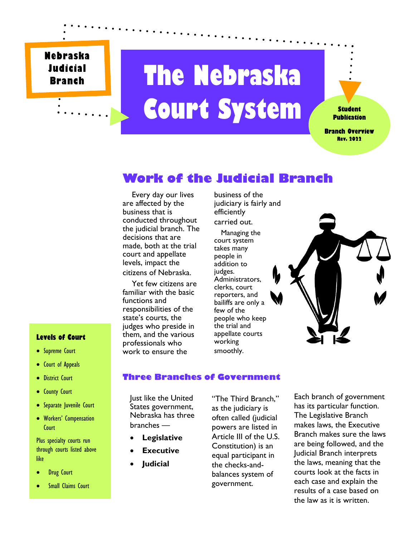**Nebraska Judicial Branch**

# **The Nebraska Court System**

**Student Publication**

**Branch Overview Rev. 2022**

## **Work of the Judicial Branch**

 Every day our lives are affected by the business that is conducted throughout the judicial branch. The decisions that are made, both at the trial court and appellate levels, impact the citizens of Nebraska.

 Yet few citizens are familiar with the basic functions and responsibilities of the state's courts, the judges who preside in them, and the various professionals who work to ensure the

business of the judiciary is fairly and efficiently carried out.

 Managing the court system takes many people in addition to judges. Administrators, clerks, court reporters, and bailiffs are only a few of the people who keep the trial and appellate courts working smoothly.



#### **Levels of Court**

- **•** Supreme Court
- **•** Court of Appeals
- **•** District Court
- County Court
- Separate Juvenile Court
- Workers' Compensation **Court**

Plus specialty courts run through courts listed above like

- Drug Court
- Small Claims Court

#### **Three Branches of Government**

Just like the United States government, Nebraska has three branches —

- **Legislative**
- **Executive**
- **Judicial**

"The Third Branch," as the judiciary is often called (judicial powers are listed in Article III of the U.S. Constitution) is an equal participant in the checks-andbalances system of government.

Each branch of government has its particular function. The Legislative Branch makes laws, the Executive Branch makes sure the laws are being followed, and the Judicial Branch interprets the laws, meaning that the courts look at the facts in each case and explain the results of a case based on the law as it is written.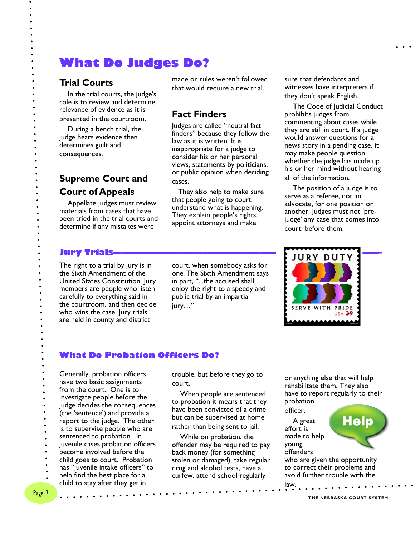# **What Do Judges Do?**

#### **Trial Courts**

 In the trial courts, the judge's role is to review and determine relevance of evidence as it is presented in the courtroom.

 During a bench trial, the judge hears evidence then determines guilt and consequences.

**Supreme Court and Court of Appeals**

 Appellate judges must review materials from cases that have been tried in the trial courts and determine if any mistakes were

made or rules weren't followed that would require a new trial.

#### **Fact Finders**

Judges are called "neutral fact finders" because they follow the law as it is written. It is inappropriate for a judge to consider his or her personal views, statements by politicians, or public opinion when deciding cases.

 They also help to make sure that people going to court understand what is happening. They explain people's rights, appoint attorneys and make

The right to a trial by jury is in the Sixth Amendment of the United States Constitution. Jury members are people who listen carefully to everything said in the courtroom, and then decide who wins the case. Jury trials are held in county and district

court, when somebody asks for one. The Sixth Amendment says in part, "...the accused shall enjoy the right to a speedy and public trial by an impartial jury…"

sure that defendants and witnesses have interpreters if they don't speak English.

 The Code of Judicial Conduct prohibits judges from commenting about cases while they are still in court. If a judge would answer questions for a news story in a pending case, it may make people question whether the judge has made up his or her mind without hearing all of the information.

 The position of a judge is to serve as a referee, not an advocate, for one position or another. Judges must not 'prejudge' any case that comes into court. before them.



#### **What Do Probation Officers Do?**

Generally, probation officers have two basic assignments from the court. One is to investigate people before the judge decides the consequences (the 'sentence') and provide a report to the judge. The other is to supervise people who are sentenced to probation. In juvenile cases probation officers become involved before the child goes to court. Probation

- has "juvenile intake officers" to
- help find the best place for a
- child to stay after they get in

trouble, but before they go to court.

 When people are sentenced to probation it means that they have been convicted of a crime but can be supervised at home rather than being sent to jail.

 While on probation, the offender may be required to pay back money (for something stolen or damaged), take regular drug and alcohol tests, have a curfew, attend school regularly

or anything else that will help rehabilitate them. They also have to report regularly to their probation

officer. A great

effort is made to help young offenders

**Help** 

who are given the opportunity to correct their problems and avoid further trouble with the law.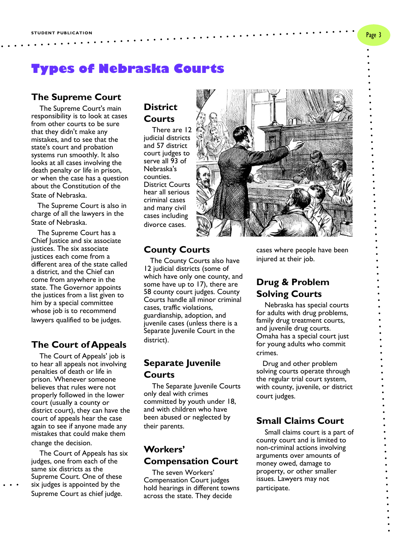# **Types of Nebraska Courts**

#### **The Supreme Court**

 The Supreme Court's main responsibility is to look at cases from other courts to be sure that they didn't make any mistakes, and to see that the state's court and probation systems run smoothly. It also looks at all cases involving the death penalty or life in prison, or when the case has a question about the Constitution of the State of Nebraska.

 The Supreme Court is also in charge of all the lawyers in the State of Nebraska.

 The Supreme Court has a Chief Justice and six associate justices. The six associate justices each come from a different area of the state called a district, and the Chief can come from anywhere in the state. The Governor appoints the justices from a list given to him by a special committee whose job is to recommend lawyers qualified to be judges.

#### **The Court of Appeals**

 The Court of Appeals' job is to hear all appeals not involving penalties of death or life in prison. Whenever someone believes that rules were not properly followed in the lower court (usually a county or district court), they can have the court of appeals hear the case again to see if anyone made any mistakes that could make them

change the decision.

 The Court of Appeals has six judges, one from each of the same six districts as the Supreme Court. One of these six judges is appointed by the Supreme Court as chief judge.

## **District Courts**

 There are 12 judicial districts and 57 district court judges to serve all 93 of Nebraska's counties. District Courts hear all serious criminal cases and many civil cases including divorce cases.



#### **County Courts**

 The County Courts also have 12 judicial districts (some of which have only one county, and some have up to 17), there are 58 county court judges. County Courts handle all minor criminal cases, traffic violations, guardianship, adoption, and juvenile cases (unless there is a Separate Juvenile Court in the district).

#### **Separate Juvenile Courts**

 The Separate Juvenile Courts only deal with crimes committed by youth under 18, and with children who have been abused or neglected by their parents.

#### **Workers' Compensation Court**

 The seven Workers' Compensation Court judges hold hearings in different towns across the state. They decide

cases where people have been injured at their job.

#### **Drug & Problem Solving Courts**

 Nebraska has special courts for adults with drug problems, family drug treatment courts, and juvenile drug courts. Omaha has a special court just for young adults who commit crimes.

 Drug and other problem solving courts operate through the regular trial court system, with county, juvenile, or district court judges.

#### **Small Claims Court**

 Small claims court is a part of county court and is limited to non-criminal actions involving arguments over amounts of money owed, damage to property, or other smaller issues. Lawyers may not participate.